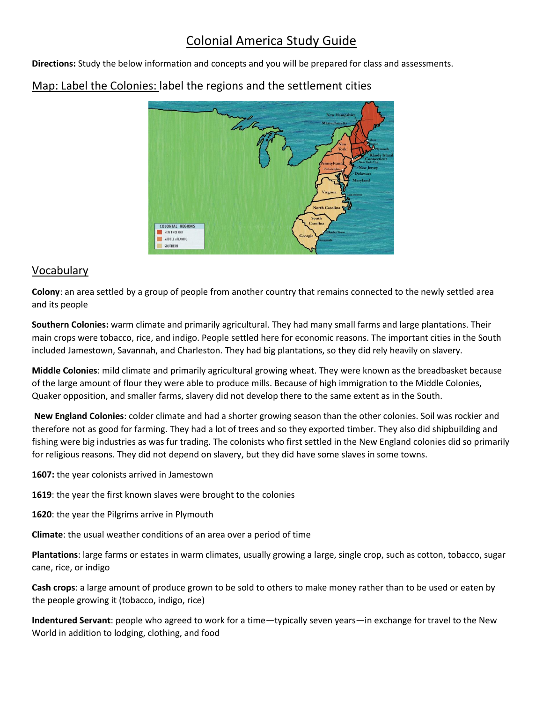# Colonial America Study Guide

**Directions:** Study the below information and concepts and you will be prepared for class and assessments.



## Map: Label the Colonies: label the regions and the settlement cities

### Vocabulary

**Colony**: an area settled by a group of people from another country that remains connected to the newly settled area and its people

**Southern Colonies:** warm climate and primarily agricultural. They had many small farms and large plantations. Their main crops were tobacco, rice, and indigo. People settled here for economic reasons. The important cities in the South included Jamestown, Savannah, and Charleston. They had big plantations, so they did rely heavily on slavery.

**Middle Colonies**: mild climate and primarily agricultural growing wheat. They were known as the breadbasket because of the large amount of flour they were able to produce mills. Because of high immigration to the Middle Colonies, Quaker opposition, and smaller farms, slavery did not develop there to the same extent as in the South.

**New England Colonies**: colder climate and had a shorter growing season than the other colonies. Soil was rockier and therefore not as good for farming. They had a lot of trees and so they exported timber. They also did shipbuilding and fishing were big industries as was fur trading. The colonists who first settled in the New England colonies did so primarily for religious reasons. They did not depend on slavery, but they did have some slaves in some towns.

**1607:** the year colonists arrived in Jamestown

**1619**: the year the first known slaves were brought to the colonies

**1620**: the year the Pilgrims arrive in Plymouth

**Climate**: the usual weather conditions of an area over a period of time

**Plantations**: large farms or estates in warm climates, usually growing a large, single crop, such as cotton, tobacco, sugar cane, rice, or indigo

**Cash crops**: a large amount of produce grown to be sold to others to make money rather than to be used or eaten by the people growing it (tobacco, indigo, rice)

**Indentured Servant**: people who agreed to work for a time—typically seven years—in exchange for travel to the New World in addition to lodging, clothing, and food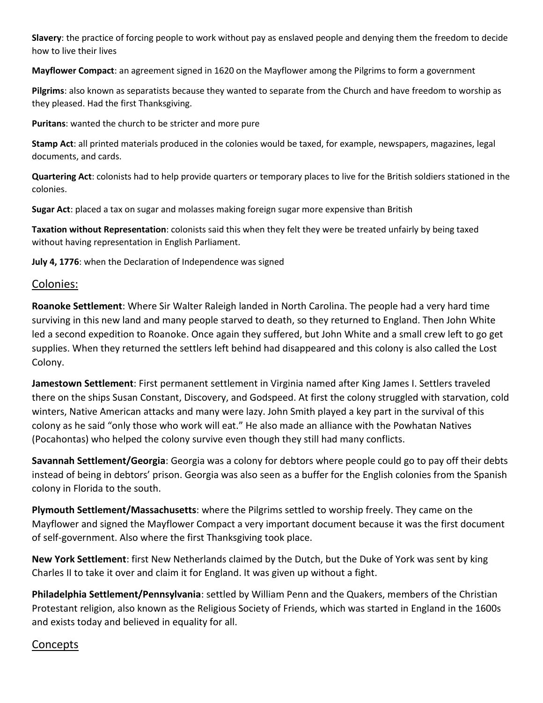**Slavery**: the practice of forcing people to work without pay as enslaved people and denying them the freedom to decide how to live their lives

**Mayflower Compact**: an agreement signed in 1620 on the Mayflower among the Pilgrims to form a government

**Pilgrims**: also known as separatists because they wanted to separate from the Church and have freedom to worship as they pleased. Had the first Thanksgiving.

**Puritans**: wanted the church to be stricter and more pure

**Stamp Act**: all printed materials produced in the colonies would be taxed, for example, newspapers, magazines, legal documents, and cards.

**Quartering Act**: colonists had to help provide quarters or temporary places to live for the British soldiers stationed in the colonies.

**Sugar Act**: placed a tax on sugar and molasses making foreign sugar more expensive than British

**Taxation without Representation**: colonists said this when they felt they were be treated unfairly by being taxed without having representation in English Parliament.

**July 4, 1776**: when the Declaration of Independence was signed

#### Colonies:

**Roanoke Settlement**: Where Sir Walter Raleigh landed in North Carolina. The people had a very hard time surviving in this new land and many people starved to death, so they returned to England. Then John White led a second expedition to Roanoke. Once again they suffered, but John White and a small crew left to go get supplies. When they returned the settlers left behind had disappeared and this colony is also called the Lost Colony.

**Jamestown Settlement**: First permanent settlement in Virginia named after King James I. Settlers traveled there on the ships Susan Constant, Discovery, and Godspeed. At first the colony struggled with starvation, cold winters, Native American attacks and many were lazy. John Smith played a key part in the survival of this colony as he said "only those who work will eat." He also made an alliance with the Powhatan Natives (Pocahontas) who helped the colony survive even though they still had many conflicts.

**Savannah Settlement/Georgia**: Georgia was a colony for debtors where people could go to pay off their debts instead of being in debtors' prison. Georgia was also seen as a buffer for the English colonies from the Spanish colony in Florida to the south.

**Plymouth Settlement/Massachusetts**: where the Pilgrims settled to worship freely. They came on the Mayflower and signed the Mayflower Compact a very important document because it was the first document of self-government. Also where the first Thanksgiving took place.

**New York Settlement**: first New Netherlands claimed by the Dutch, but the Duke of York was sent by king Charles II to take it over and claim it for England. It was given up without a fight.

**Philadelphia Settlement/Pennsylvania**: settled by William Penn and the Quakers, members of the Christian Protestant religion, also known as the Religious Society of Friends, which was started in England in the 1600s and exists today and believed in equality for all.

### Concepts